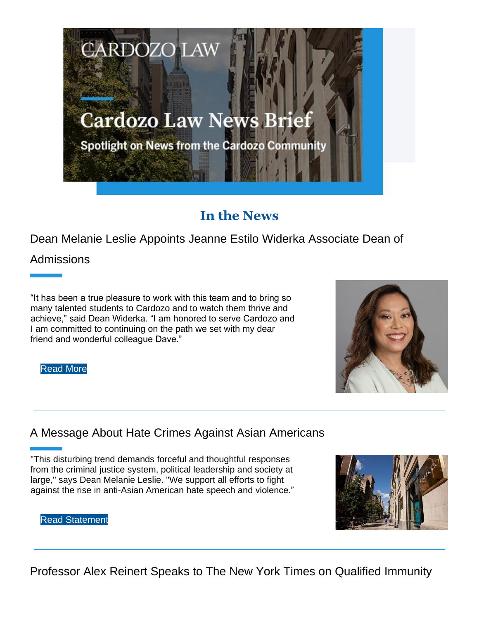

## **In the News**

Dean Melanie Leslie Appoints Jeanne Estilo Widerka Associate Dean of

Admissions

"It has been a true pleasure to work with this team and to bring so many talented students to Cardozo and to watch them thrive and achieve," said Dean Widerka. "I am honored to serve Cardozo and I am committed to continuing on the path we set with my dear friend and wonderful colleague Dave."

Read More

### A Message About Hate Crimes Against Asian Americans

"This disturbing trend demands forceful and thoughtful responses from the criminal justice system, political leadership and society at large," says Dean Melanie Leslie. "We support all efforts to fight against the rise in anti-Asian American hate speech and violence."



Read Statement

Professor Alex Reinert Speaks to The New York Times on Qualified Immunity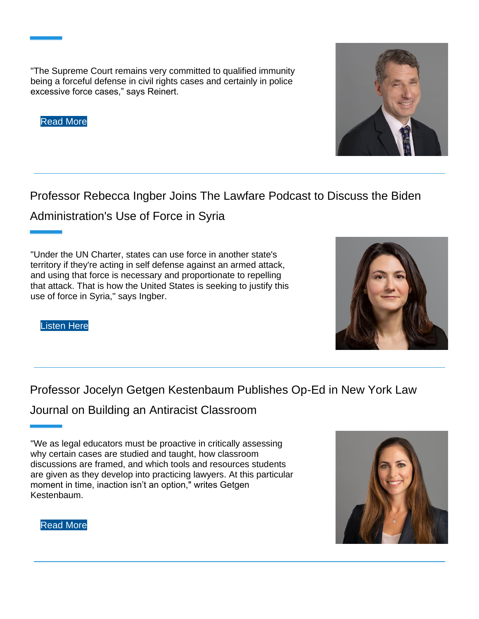"The Supreme Court remains very committed to qualified immunity being a forceful defense in civil rights cases and certainly in police excessive force cases," says Reinert.

Read More

Professor Rebecca Ingber Joins The Lawfare Podcast to Discuss the Biden

Administration's Use of Force in Syria

"Under the UN Charter, states can use force in another state's territory if they're acting in self defense against an armed attack, and using that force is necessary and proportionate to repelling that attack. That is how the United States is seeking to justify this use of force in Syria," says Ingber.

Listen Here

Professor Jocelyn Getgen Kestenbaum Publishes Op-Ed in New York Law

Journal on Building an Antiracist Classroom

<sup>&</sup>quot;We as legal educators must be proactive in critically assessing why certain cases are studied and taught, how classroom discussions are framed, and which tools and resources students are given as they develop into practicing lawyers. At this particular moment in time, inaction isn't an option," writes Getgen Kestenbaum.







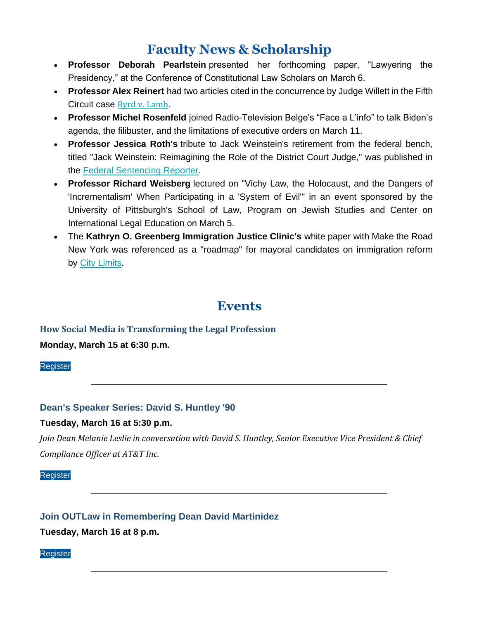## **Faculty News & Scholarship**

- **Professor Deborah Pearlstein** presented her forthcoming paper, "Lawyering the Presidency," at the Conference of Constitutional Law Scholars on March 6.
- **Professor Alex Reinert** had two articles cited in the concurrence by Judge Willett in the Fifth Circuit case Byrd v. Lamb.
- **Professor Michel Rosenfeld** joined Radio-Television Belge's "Face a L'info" to talk Biden's agenda, the filibuster, and the limitations of executive orders on March 11.
- **Professor Jessica Roth's** tribute to Jack Weinstein's retirement from the federal bench, titled "Jack Weinstein: Reimagining the Role of the District Court Judge," was published in the Federal Sentencing Reporter.
- **Professor Richard Weisberg** lectured on "Vichy Law, the Holocaust, and the Dangers of 'Incrementalism' When Participating in a 'System of Evil'" in an event sponsored by the University of Pittsburgh's School of Law, Program on Jewish Studies and Center on International Legal Education on March 5.
- The **Kathryn O. Greenberg Immigration Justice Clinic's** white paper with Make the Road New York was referenced as a "roadmap" for mayoral candidates on immigration reform by City Limits.

## **Events**

# **How Social Media is Transforming the Legal Profession**

**Monday, March 15 at 6:30 p.m.**

Register

### **Dean's Speaker Series: David S. Huntley '90**

### **Tuesday, March 16 at 5:30 p.m.**

*Join Dean Melanie Leslie in conversation with David S. Huntley, Senior Executive Vice President & Chief Compliance Officer at AT&T Inc.*

Register

### **Join OUTLaw in Remembering Dean David Martinidez**

**Tuesday, March 16 at 8 p.m.**

Register